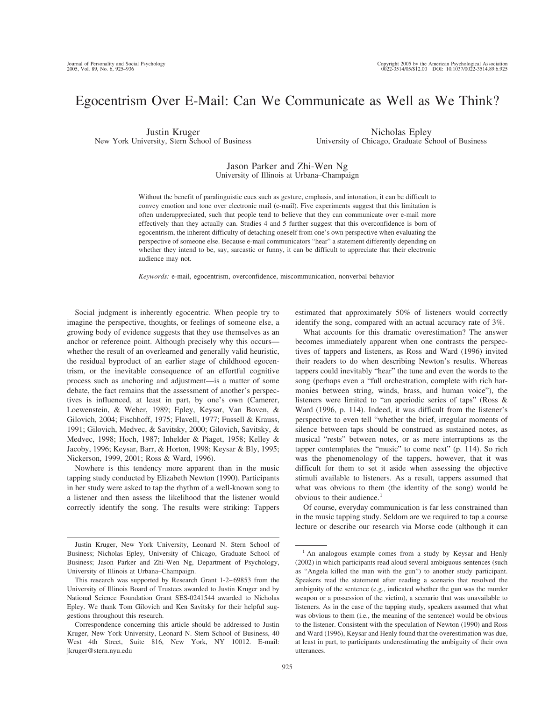# Egocentrism Over E-Mail: Can We Communicate as Well as We Think?

Justin Kruger New York University, Stern School of Business

Nicholas Epley University of Chicago, Graduate School of Business

## Jason Parker and Zhi-Wen Ng University of Illinois at Urbana–Champaign

Without the benefit of paralinguistic cues such as gesture, emphasis, and intonation, it can be difficult to convey emotion and tone over electronic mail (e-mail). Five experiments suggest that this limitation is often underappreciated, such that people tend to believe that they can communicate over e-mail more effectively than they actually can. Studies 4 and 5 further suggest that this overconfidence is born of egocentrism, the inherent difficulty of detaching oneself from one's own perspective when evaluating the perspective of someone else. Because e-mail communicators "hear" a statement differently depending on whether they intend to be, say, sarcastic or funny, it can be difficult to appreciate that their electronic audience may not.

*Keywords:* e-mail, egocentrism, overconfidence, miscommunication, nonverbal behavior

Social judgment is inherently egocentric. When people try to imagine the perspective, thoughts, or feelings of someone else, a growing body of evidence suggests that they use themselves as an anchor or reference point. Although precisely why this occurs whether the result of an overlearned and generally valid heuristic, the residual byproduct of an earlier stage of childhood egocentrism, or the inevitable consequence of an effortful cognitive process such as anchoring and adjustment—is a matter of some debate, the fact remains that the assessment of another's perspectives is influenced, at least in part, by one's own (Camerer, Loewenstein, & Weber, 1989; Epley, Keysar, Van Boven, & Gilovich, 2004; Fischhoff, 1975; Flavell, 1977; Fussell & Krauss, 1991; Gilovich, Medvec, & Savitsky, 2000; Gilovich, Savitsky, & Medvec, 1998; Hoch, 1987; Inhelder & Piaget, 1958; Kelley & Jacoby, 1996; Keysar, Barr, & Horton, 1998; Keysar & Bly, 1995; Nickerson, 1999, 2001; Ross & Ward, 1996).

Nowhere is this tendency more apparent than in the music tapping study conducted by Elizabeth Newton (1990). Participants in her study were asked to tap the rhythm of a well-known song to a listener and then assess the likelihood that the listener would correctly identify the song. The results were striking: Tappers

estimated that approximately 50% of listeners would correctly identify the song, compared with an actual accuracy rate of 3%.

What accounts for this dramatic overestimation? The answer becomes immediately apparent when one contrasts the perspectives of tappers and listeners, as Ross and Ward (1996) invited their readers to do when describing Newton's results. Whereas tappers could inevitably "hear" the tune and even the words to the song (perhaps even a "full orchestration, complete with rich harmonies between string, winds, brass, and human voice"), the listeners were limited to "an aperiodic series of taps" (Ross & Ward (1996, p. 114). Indeed, it was difficult from the listener's perspective to even tell "whether the brief, irregular moments of silence between taps should be construed as sustained notes, as musical "rests" between notes, or as mere interruptions as the tapper contemplates the "music" to come next" (p. 114). So rich was the phenomenology of the tappers, however, that it was difficult for them to set it aside when assessing the objective stimuli available to listeners. As a result, tappers assumed that what was obvious to them (the identity of the song) would be obvious to their audience.<sup>1</sup>

Of course, everyday communication is far less constrained than in the music tapping study. Seldom are we required to tap a course lecture or describe our research via Morse code (although it can

Justin Kruger, New York University, Leonard N. Stern School of Business; Nicholas Epley, University of Chicago, Graduate School of Business; Jason Parker and Zhi-Wen Ng, Department of Psychology, University of Illinois at Urbana–Champaign.

This research was supported by Research Grant 1-2–69853 from the University of Illinois Board of Trustees awarded to Justin Kruger and by National Science Foundation Grant SES-0241544 awarded to Nicholas Epley. We thank Tom Gilovich and Ken Savitsky for their helpful suggestions throughout this research.

Correspondence concerning this article should be addressed to Justin Kruger, New York University, Leonard N. Stern School of Business, 40 West 4th Street, Suite 816, New York, NY 10012. E-mail: jkruger@stern.nyu.edu

<sup>&</sup>lt;sup>1</sup> An analogous example comes from a study by Keysar and Henly (2002) in which participants read aloud several ambiguous sentences (such as "Angela killed the man with the gun") to another study participant. Speakers read the statement after reading a scenario that resolved the ambiguity of the sentence (e.g., indicated whether the gun was the murder weapon or a possession of the victim), a scenario that was unavailable to listeners. As in the case of the tapping study, speakers assumed that what was obvious to them (i.e., the meaning of the sentence) would be obvious to the listener. Consistent with the speculation of Newton (1990) and Ross and Ward (1996), Keysar and Henly found that the overestimation was due, at least in part, to participants underestimating the ambiguity of their own utterances.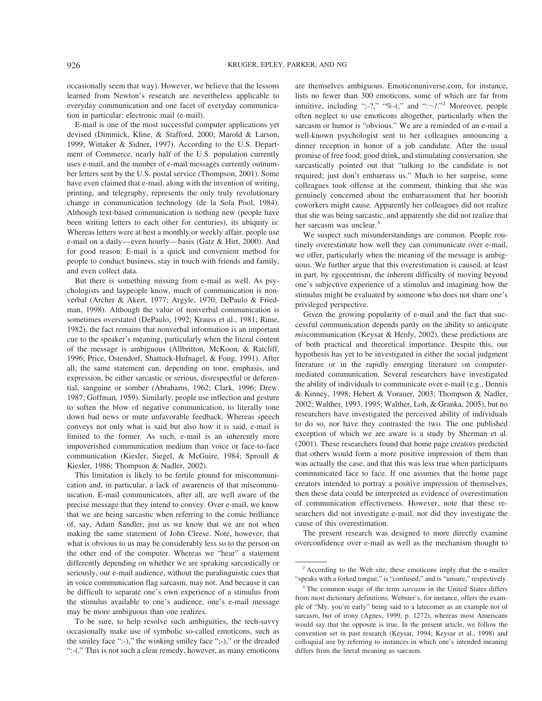occasionally seem that way). However, we believe that the lessons learned from Newton's research are nevertheless applicable to everyday communication and one facet of everyday communication in particular: electronic mail (e-mail).

E-mail is one of the most successful computer applications yet devised (Dimmick, Kline, & Stafford, 2000; Marold & Larson, 1999; Wittaker & Sidner, 1997). According to the U.S. Department of Commerce, nearly half of the U.S. population currently uses e-mail, and the number of e-mail messages currently outnumber letters sent by the U.S. postal service (Thompson, 2001). Some have even claimed that e-mail, along with the invention of writing, printing, and telegraphy, represents the only truly revolutionary change in communication technology (de la Sola Pool, 1984). Although text-based communication is nothing new (people have been writing letters to each other for centuries), its ubiquity is: Whereas letters were at best a monthly or weekly affair, people use e-mail on a daily—even hourly—basis (Gatz & Hirt, 2000). And for good reason: E-mail is a quick and convenient method for people to conduct business, stay in touch with friends and family, and even collect data.

But there is something missing from e-mail as well. As psychologists and laypeople know, much of communication is nonverbal (Archer & Akert, 1977; Argyle, 1970; DePaulo & Friedman, 1998). Although the value of nonverbal communication is sometimes overstated (DePaulo, 1992; Krauss et al., 1981; Rime, 1982), the fact remains that nonverbal information is an important cue to the speaker's meaning, particularly when the literal content of the message is ambiguous (Allbritton, McKoon, & Ratcliff, 1996; Price, Ostendorf, Shattuck-Hufnagel, & Fong, 1991). After all, the same statement can, depending on tone, emphasis, and expression, be either sarcastic or serious, disrespectful or deferential, sanguine or somber (Abrahams, 1962; Clark, 1996; Drew, 1987; Goffman, 1959). Similarly, people use inflection and gesture to soften the blow of negative communication, to literally tone down bad news or mute unfavorable feedback. Whereas speech conveys not only what is said but also how it is said, e-mail is limited to the former. As such, e-mail is an inherently more impoverished communication medium than voice or face-to-face communication (Kiesler, Siegel, & McGuire, 1984; Sproull & Kiesler, 1986; Thompson & Nadler, 2002).

This limitation is likely to be fertile ground for miscommunication and, in particular, a lack of awareness of that miscommunication. E-mail communicators, after all, are well aware of the precise message that they intend to convey. Over e-mail, we know that we are being sarcastic when referring to the comic brilliance of, say, Adam Sandler, just as we know that we are not when making the same statement of John Cleese. Note, however, that what is obvious to us may be considerably less so to the person on the other end of the computer. Whereas we "hear" a statement differently depending on whether we are speaking sarcastically or seriously, our e-mail audience, without the paralinguistic cues that in voice communication flag sarcasm, may not. And because it can be difficult to separate one's own experience of a stimulus from the stimulus available to one's audience, one's e-mail message may be more ambiguous than one realizes.

To be sure, to help resolve such ambiguities, the tech-savvy occasionally make use of symbolic so-called emoticons, such as the smiley face ":-)," the winking smiley face ";-)," or the dreaded ":-(." This is not such a clear remedy, however, as many emoticons

are themselves ambiguous. Emoticonuniverse.com, for instance, lists no fewer than 300 emoticons, some of which are far from intuitive, including ";-?," "%-(," and ": $\sim$ /."<sup>2</sup> Moreover, people often neglect to use emoticons altogether, particularly when the sarcasm or humor is "obvious." We are a reminded of an e-mail a well-known psychologist sent to her colleagues announcing a dinner reception in honor of a job candidate. After the usual promise of free food, good drink, and stimulating conversation, she sarcastically pointed out that "talking to the candidate is not required; just don't embarrass us." Much to her surprise, some colleagues took offense at the comment, thinking that she was genuinely concerned about the embarrassment that her boorish coworkers might cause. Apparently her colleagues did not realize that she was being sarcastic, and apparently she did not realize that her sarcasm was unclear.<sup>3</sup>

We suspect such misunderstandings are common. People routinely overestimate how well they can communicate over e-mail, we offer, particularly when the meaning of the message is ambiguous. We further argue that this overestimation is caused, at least in part, by egocentrism, the inherent difficulty of moving beyond one's subjective experience of a stimulus and imagining how the stimulus might be evaluated by someone who does not share one's privileged perspective.

Given the growing popularity of e-mail and the fact that successful communication depends partly on the ability to anticipate *mis*communication (Keysar & Henly, 2002), these predictions are of both practical and theoretical importance. Despite this, our hypothesis has yet to be investigated in either the social judgment literature or in the rapidly emerging literature on computermediated communication. Several researchers have investigated the ability of individuals to communicate over e-mail (e.g., Dennis & Kinney, 1998; Hebert & Vorauer, 2003; Thompson & Nadler, 2002; Walther, 1993, 1995; Walther, Loh, & Granka, 2005), but no researchers have investigated the perceived ability of individuals to do so, nor have they contrasted the two. The one published exception of which we are aware is a study by Sherman et al. (2001). These researchers found that home page creators predicted that others would form a more positive impression of them than was actually the case, and that this was less true when participants communicated face to face. If one assumes that the home page creators intended to portray a positive impression of themselves, then these data could be interpreted as evidence of overestimation of communication effectiveness. However, note that these researchers did not investigate e-mail, nor did they investigate the cause of this overestimation.

The present research was designed to more directly examine overconfidence over e-mail as well as the mechanism thought to

<sup>2</sup> According to the Web site, these emoticons imply that the e-mailer "speaks with a forked tongue," is "confused," and is "unsure," respectively.

<sup>3</sup> The common usage of the term *sarcasm* in the United States differs from most dictionary definitions. Webster's, for instance, offers the example of "My, you're early" being said to a latecomer as an example not of sarcasm, but of irony (Agnes, 1999, p. 1272), whereas most Americans would say that the opposite is true. In the present article, we follow the convention set in past research (Keysar, 1994; Keysar et al., 1998) and colloquial use by referring to instances in which one's intended meaning differs from the literal meaning as sarcasm.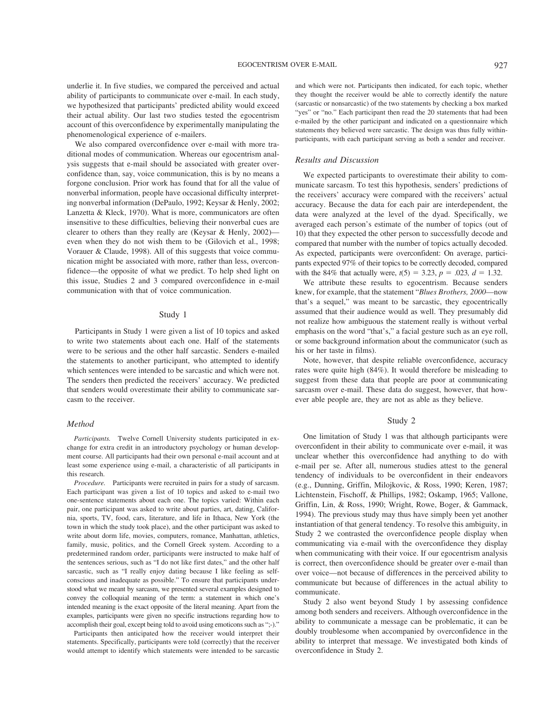underlie it. In five studies, we compared the perceived and actual ability of participants to communicate over e-mail. In each study, we hypothesized that participants' predicted ability would exceed their actual ability. Our last two studies tested the egocentrism account of this overconfidence by experimentally manipulating the phenomenological experience of e-mailers.

We also compared overconfidence over e-mail with more traditional modes of communication. Whereas our egocentrism analysis suggests that e-mail should be associated with greater overconfidence than, say, voice communication, this is by no means a forgone conclusion. Prior work has found that for all the value of nonverbal information, people have occasional difficulty interpreting nonverbal information (DePaulo, 1992; Keysar & Henly, 2002; Lanzetta & Kleck, 1970). What is more, communicators are often insensitive to these difficulties, believing their nonverbal cues are clearer to others than they really are (Keysar & Henly, 2002) even when they do not wish them to be (Gilovich et al., 1998; Vorauer & Claude, 1998). All of this suggests that voice communication might be associated with more, rather than less, overconfidence—the opposite of what we predict. To help shed light on this issue, Studies 2 and 3 compared overconfidence in e-mail communication with that of voice communication.

#### Study 1

Participants in Study 1 were given a list of 10 topics and asked to write two statements about each one. Half of the statements were to be serious and the other half sarcastic. Senders e-mailed the statements to another participant, who attempted to identify which sentences were intended to be sarcastic and which were not. The senders then predicted the receivers' accuracy. We predicted that senders would overestimate their ability to communicate sarcasm to the receiver.

## *Method*

*Participants.* Twelve Cornell University students participated in exchange for extra credit in an introductory psychology or human development course. All participants had their own personal e-mail account and at least some experience using e-mail, a characteristic of all participants in this research.

*Procedure.* Participants were recruited in pairs for a study of sarcasm. Each participant was given a list of 10 topics and asked to e-mail two one-sentence statements about each one. The topics varied: Within each pair, one participant was asked to write about parties, art, dating, California, sports, TV, food, cars, literature, and life in Ithaca, New York (the town in which the study took place), and the other participant was asked to write about dorm life, movies, computers, romance, Manhattan, athletics, family, music, politics, and the Cornell Greek system. According to a predetermined random order, participants were instructed to make half of the sentences serious, such as "I do not like first dates," and the other half sarcastic, such as "I really enjoy dating because I like feeling as selfconscious and inadequate as possible." To ensure that participants understood what we meant by sarcasm, we presented several examples designed to convey the colloquial meaning of the term: a statement in which one's intended meaning is the exact opposite of the literal meaning. Apart from the examples, participants were given no specific instructions regarding how to accomplish their goal, except being told to avoid using emoticons such as ";-)."

Participants then anticipated how the receiver would interpret their statements. Specifically, participants were told (correctly) that the receiver would attempt to identify which statements were intended to be sarcastic

and which were not. Participants then indicated, for each topic, whether they thought the receiver would be able to correctly identify the nature (sarcastic or nonsarcastic) of the two statements by checking a box marked "yes" or "no." Each participant then read the 20 statements that had been e-mailed by the other participant and indicated on a questionnaire which statements they believed were sarcastic. The design was thus fully withinparticipants, with each participant serving as both a sender and receiver.

## *Results and Discussion*

We expected participants to overestimate their ability to communicate sarcasm. To test this hypothesis, senders' predictions of the receivers' accuracy were compared with the receivers' actual accuracy. Because the data for each pair are interdependent, the data were analyzed at the level of the dyad. Specifically, we averaged each person's estimate of the number of topics (out of 10) that they expected the other person to successfully decode and compared that number with the number of topics actually decoded. As expected, participants were overconfident: On average, participants expected 97% of their topics to be correctly decoded, compared with the 84% that actually were,  $t(5) = 3.23$ ,  $p = .023$ ,  $d = 1.32$ .

We attribute these results to egocentrism. Because senders knew, for example, that the statement "*Blues Brothers, 2000*—now that's a sequel," was meant to be sarcastic, they egocentrically assumed that their audience would as well. They presumably did not realize how ambiguous the statement really is without verbal emphasis on the word "that's," a facial gesture such as an eye roll, or some background information about the communicator (such as his or her taste in films).

Note, however, that despite reliable overconfidence, accuracy rates were quite high (84%). It would therefore be misleading to suggest from these data that people are poor at communicating sarcasm over e-mail. These data do suggest, however, that however able people are, they are not as able as they believe.

#### Study 2

One limitation of Study 1 was that although participants were overconfident in their ability to communicate over e-mail, it was unclear whether this overconfidence had anything to do with e-mail per se. After all, numerous studies attest to the general tendency of individuals to be overconfident in their endeavors (e.g., Dunning, Griffin, Milojkovic, & Ross, 1990; Keren, 1987; Lichtenstein, Fischoff, & Phillips, 1982; Oskamp, 1965; Vallone, Griffin, Lin, & Ross, 1990; Wright, Rowe, Boger, & Gammack, 1994). The previous study may thus have simply been yet another instantiation of that general tendency. To resolve this ambiguity, in Study 2 we contrasted the overconfidence people display when communicating via e-mail with the overconfidence they display when communicating with their voice. If our egocentrism analysis is correct, then overconfidence should be greater over e-mail than over voice—not because of differences in the perceived ability to communicate but because of differences in the actual ability to communicate.

Study 2 also went beyond Study 1 by assessing confidence among both senders and receivers. Although overconfidence in the ability to communicate a message can be problematic, it can be doubly troublesome when accompanied by overconfidence in the ability to interpret that message. We investigated both kinds of overconfidence in Study 2.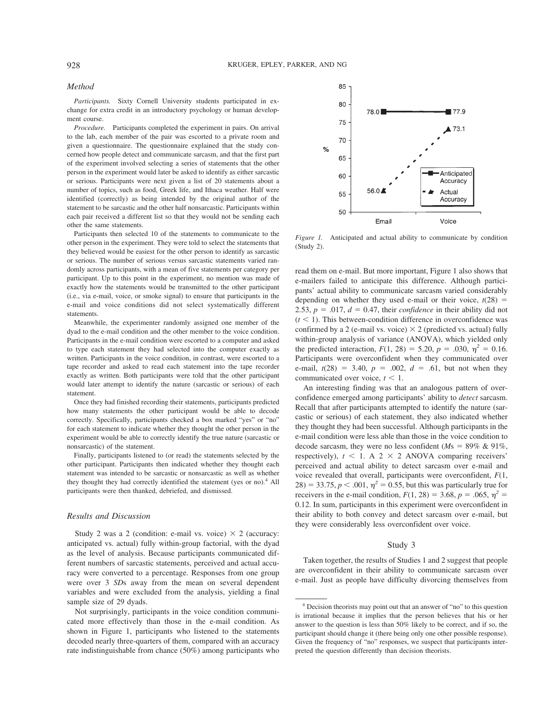#### *Method*

*Participants.* Sixty Cornell University students participated in exchange for extra credit in an introductory psychology or human development course.

*Procedure.* Participants completed the experiment in pairs. On arrival to the lab, each member of the pair was escorted to a private room and given a questionnaire. The questionnaire explained that the study concerned how people detect and communicate sarcasm, and that the first part of the experiment involved selecting a series of statements that the other person in the experiment would later be asked to identify as either sarcastic or serious. Participants were next given a list of 20 statements about a number of topics, such as food, Greek life, and Ithaca weather. Half were identified (correctly) as being intended by the original author of the statement to be sarcastic and the other half nonsarcastic. Participants within each pair received a different list so that they would not be sending each other the same statements.

Participants then selected 10 of the statements to communicate to the other person in the experiment. They were told to select the statements that they believed would be easiest for the other person to identify as sarcastic or serious. The number of serious versus sarcastic statements varied randomly across participants, with a mean of five statements per category per participant. Up to this point in the experiment, no mention was made of exactly how the statements would be transmitted to the other participant (i.e., via e-mail, voice, or smoke signal) to ensure that participants in the e-mail and voice conditions did not select systematically different statements.

Meanwhile, the experimenter randomly assigned one member of the dyad to the e-mail condition and the other member to the voice condition. Participants in the e-mail condition were escorted to a computer and asked to type each statement they had selected into the computer exactly as written. Participants in the voice condition, in contrast, were escorted to a tape recorder and asked to read each statement into the tape recorder exactly as written. Both participants were told that the other participant would later attempt to identify the nature (sarcastic or serious) of each statement.

Once they had finished recording their statements, participants predicted how many statements the other participant would be able to decode correctly. Specifically, participants checked a box marked "yes" or "no" for each statement to indicate whether they thought the other person in the experiment would be able to correctly identify the true nature (sarcastic or nonsarcastic) of the statement.

Finally, participants listened to (or read) the statements selected by the other participant. Participants then indicated whether they thought each statement was intended to be sarcastic or nonsarcastic as well as whether they thought they had correctly identified the statement (yes or no).<sup>4</sup> All participants were then thanked, debriefed, and dismissed.

## *Results and Discussion*

Study 2 was a 2 (condition: e-mail vs. voice)  $\times$  2 (accuracy: anticipated vs. actual) fully within-group factorial, with the dyad as the level of analysis. Because participants communicated different numbers of sarcastic statements, perceived and actual accuracy were converted to a percentage. Responses from one group were over 3 *SD*s away from the mean on several dependent variables and were excluded from the analysis, yielding a final sample size of 29 dyads.

Not surprisingly, participants in the voice condition communicated more effectively than those in the e-mail condition. As shown in Figure 1, participants who listened to the statements decoded nearly three-quarters of them, compared with an accuracy rate indistinguishable from chance (50%) among participants who



*Figure 1.* Anticipated and actual ability to communicate by condition (Study 2).

read them on e-mail. But more important, Figure 1 also shows that e-mailers failed to anticipate this difference. Although participants' actual ability to communicate sarcasm varied considerably depending on whether they used e-mail or their voice,  $t(28)$  = 2.53,  $p = .017$ ,  $d = 0.47$ , their *confidence* in their ability did not  $(t < 1)$ . This between-condition difference in overconfidence was confirmed by a 2 (e-mail vs. voice)  $\times$  2 (predicted vs. actual) fully within-group analysis of variance (ANOVA), which yielded only the predicted interaction,  $F(1, 28) = 5.20, p = .030, \eta^2 = 0.16$ . Participants were overconfident when they communicated over e-mail,  $t(28) = 3.40$ ,  $p = .002$ ,  $d = .61$ , but not when they communicated over voice,  $t < 1$ .

An interesting finding was that an analogous pattern of overconfidence emerged among participants' ability to *detect* sarcasm. Recall that after participants attempted to identify the nature (sarcastic or serious) of each statement, they also indicated whether they thought they had been successful. Although participants in the e-mail condition were less able than those in the voice condition to decode sarcasm, they were no less confident ( $Ms = 89\% \& 91\%$ , respectively),  $t < 1$ . A 2  $\times$  2 ANOVA comparing receivers' perceived and actual ability to detect sarcasm over e-mail and voice revealed that overall, participants were overconfident, *F*(1,  $28$ ) = 33.75, *p* < .001,  $\eta^2$  = 0.55, but this was particularly true for receivers in the e-mail condition,  $F(1, 28) = 3.68$ ,  $p = .065$ ,  $p^2 =$ 0.12. In sum, participants in this experiment were overconfident in their ability to both convey and detect sarcasm over e-mail, but they were considerably less overconfident over voice.

#### Study 3

Taken together, the results of Studies 1 and 2 suggest that people are overconfident in their ability to communicate sarcasm over e-mail. Just as people have difficulty divorcing themselves from

<sup>4</sup> Decision theorists may point out that an answer of "no" to this question is irrational because it implies that the person believes that his or her answer to the question is less than 50% likely to be correct, and if so, the participant should change it (there being only one other possible response). Given the frequency of "no" responses, we suspect that participants interpreted the question differently than decision theorists.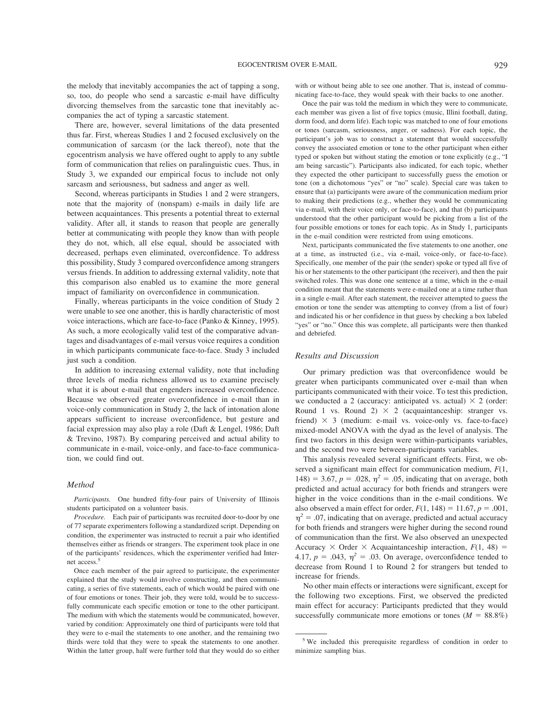the melody that inevitably accompanies the act of tapping a song, so, too, do people who send a sarcastic e-mail have difficulty divorcing themselves from the sarcastic tone that inevitably accompanies the act of typing a sarcastic statement.

There are, however, several limitations of the data presented thus far. First, whereas Studies 1 and 2 focused exclusively on the communication of sarcasm (or the lack thereof), note that the egocentrism analysis we have offered ought to apply to any subtle form of communication that relies on paralinguistic cues. Thus, in Study 3, we expanded our empirical focus to include not only sarcasm and seriousness, but sadness and anger as well.

Second, whereas participants in Studies 1 and 2 were strangers, note that the majority of (nonspam) e-mails in daily life are between acquaintances. This presents a potential threat to external validity. After all, it stands to reason that people are generally better at communicating with people they know than with people they do not, which, all else equal, should be associated with decreased, perhaps even eliminated, overconfidence. To address this possibility, Study 3 compared overconfidence among strangers versus friends. In addition to addressing external validity, note that this comparison also enabled us to examine the more general impact of familiarity on overconfidence in communication.

Finally, whereas participants in the voice condition of Study 2 were unable to see one another, this is hardly characteristic of most voice interactions, which are face-to-face (Panko & Kinney, 1995). As such, a more ecologically valid test of the comparative advantages and disadvantages of e-mail versus voice requires a condition in which participants communicate face-to-face. Study 3 included just such a condition.

In addition to increasing external validity, note that including three levels of media richness allowed us to examine precisely what it is about e-mail that engenders increased overconfidence. Because we observed greater overconfidence in e-mail than in voice-only communication in Study 2, the lack of intonation alone appears sufficient to increase overconfidence, but gesture and facial expression may also play a role (Daft & Lengel, 1986; Daft & Trevino, 1987). By comparing perceived and actual ability to communicate in e-mail, voice-only, and face-to-face communication, we could find out.

#### *Method*

*Participants.* One hundred fifty-four pairs of University of Illinois students participated on a volunteer basis.

*Procedure.* Each pair of participants was recruited door-to-door by one of 77 separate experimenters following a standardized script. Depending on condition, the experimenter was instructed to recruit a pair who identified themselves either as friends or strangers. The experiment took place in one of the participants' residences, which the experimenter verified had Internet access.<sup>5</sup>

Once each member of the pair agreed to participate, the experimenter explained that the study would involve constructing, and then communicating, a series of five statements, each of which would be paired with one of four emotions or tones. Their job, they were told, would be to successfully communicate each specific emotion or tone to the other participant. The medium with which the statements would be communicated, however, varied by condition: Approximately one third of participants were told that they were to e-mail the statements to one another, and the remaining two thirds were told that they were to speak the statements to one another. Within the latter group, half were further told that they would do so either with or without being able to see one another. That is, instead of communicating face-to-face, they would speak with their backs to one another.

Once the pair was told the medium in which they were to communicate, each member was given a list of five topics (music, Illini football, dating, dorm food, and dorm life). Each topic was matched to one of four emotions or tones (sarcasm, seriousness, anger, or sadness). For each topic, the participant's job was to construct a statement that would successfully convey the associated emotion or tone to the other participant when either typed or spoken but without stating the emotion or tone explicitly (e.g., "I am being sarcastic"). Participants also indicated, for each topic, whether they expected the other participant to successfully guess the emotion or tone (on a dichotomous "yes" or "no" scale). Special care was taken to ensure that (a) participants were aware of the communication medium prior to making their predictions (e.g., whether they would be communicating via e-mail, with their voice only, or face-to-face), and that (b) participants understood that the other participant would be picking from a list of the four possible emotions or tones for each topic. As in Study 1, participants in the e-mail condition were restricted from using emoticons.

Next, participants communicated the five statements to one another, one at a time, as instructed (i.e., via e-mail, voice-only, or face-to-face). Specifically, one member of the pair (the sender) spoke or typed all five of his or her statements to the other participant (the receiver), and then the pair switched roles. This was done one sentence at a time, which in the e-mail condition meant that the statements were e-mailed one at a time rather than in a single e-mail. After each statement, the receiver attempted to guess the emotion or tone the sender was attempting to convey (from a list of four) and indicated his or her confidence in that guess by checking a box labeled "yes" or "no." Once this was complete, all participants were then thanked and debriefed.

## *Results and Discussion*

Our primary prediction was that overconfidence would be greater when participants communicated over e-mail than when participants communicated with their voice. To test this prediction, we conducted a 2 (accuracy: anticipated vs. actual)  $\times$  2 (order: Round 1 vs. Round 2)  $\times$  2 (acquaintanceship: stranger vs. friend)  $\times$  3 (medium: e-mail vs. voice-only vs. face-to-face) mixed-model ANOVA with the dyad as the level of analysis. The first two factors in this design were within-participants variables, and the second two were between-participants variables.

This analysis revealed several significant effects. First, we observed a significant main effect for communication medium, *F*(1,  $148$ ) = 3.67, *p* = .028,  $\eta^2$  = .05, indicating that on average, both predicted and actual accuracy for both friends and strangers were higher in the voice conditions than in the e-mail conditions. We also observed a main effect for order,  $F(1, 148) = 11.67$ ,  $p = .001$ ,  $\eta^2$  = .07, indicating that on average, predicted and actual accuracy for both friends and strangers were higher during the second round of communication than the first. We also observed an unexpected Accuracy  $\times$  Order  $\times$  Acquaintanceship interaction,  $F(1, 48) =$ 4.17,  $p = .043$ ,  $\eta^2 = .03$ . On average, overconfidence tended to decrease from Round 1 to Round 2 for strangers but tended to increase for friends.

No other main effects or interactions were significant, except for the following two exceptions. First, we observed the predicted main effect for accuracy: Participants predicted that they would successfully communicate more emotions or tones  $(M = 88.8\%)$ 

<sup>5</sup> We included this prerequisite regardless of condition in order to minimize sampling bias.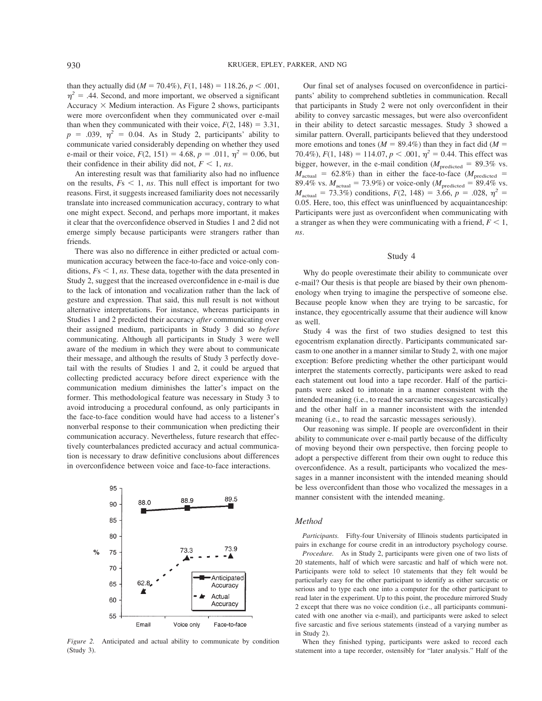than they actually did ( $M = 70.4\%$ ),  $F(1, 148) = 118.26, p < .001$ ,  $\eta^2$  = .44. Second, and more important, we observed a significant Accuracy  $\times$  Medium interaction. As Figure 2 shows, participants were more overconfident when they communicated over e-mail than when they communicated with their voice,  $F(2, 148) = 3.31$ ,  $p = .039$ ,  $\eta^2 = 0.04$ . As in Study 2, participants' ability to communicate varied considerably depending on whether they used e-mail or their voice,  $F(2, 151) = 4.68$ ,  $p = .011$ ,  $\eta^2 = 0.06$ , but their confidence in their ability did not,  $F \leq 1$ , *ns*.

An interesting result was that familiarity also had no influence on the results,  $Fs < 1$ , *ns*. This null effect is important for two reasons. First, it suggests increased familiarity does not necessarily translate into increased communication accuracy, contrary to what one might expect. Second, and perhaps more important, it makes it clear that the overconfidence observed in Studies 1 and 2 did not emerge simply because participants were strangers rather than friends.

There was also no difference in either predicted or actual communication accuracy between the face-to-face and voice-only conditions,  $Fs < 1$ , *ns*. These data, together with the data presented in Study 2, suggest that the increased overconfidence in e-mail is due to the lack of intonation and vocalization rather than the lack of gesture and expression. That said, this null result is not without alternative interpretations. For instance, whereas participants in Studies 1 and 2 predicted their accuracy *after* communicating over their assigned medium, participants in Study 3 did so *before* communicating. Although all participants in Study 3 were well aware of the medium in which they were about to communicate their message, and although the results of Study 3 perfectly dovetail with the results of Studies 1 and 2, it could be argued that collecting predicted accuracy before direct experience with the communication medium diminishes the latter's impact on the former. This methodological feature was necessary in Study 3 to avoid introducing a procedural confound, as only participants in the face-to-face condition would have had access to a listener's nonverbal response to their communication when predicting their communication accuracy. Nevertheless, future research that effectively counterbalances predicted accuracy and actual communication is necessary to draw definitive conclusions about differences in overconfidence between voice and face-to-face interactions.



*Figure 2.* Anticipated and actual ability to communicate by condition (Study 3).

Our final set of analyses focused on overconfidence in participants' ability to comprehend subtleties in communication. Recall that participants in Study 2 were not only overconfident in their ability to convey sarcastic messages, but were also overconfident in their ability to detect sarcastic messages. Study 3 showed a similar pattern. Overall, participants believed that they understood more emotions and tones ( $M = 89.4\%$ ) than they in fact did ( $M =$ 70.4%),  $F(1, 148) = 114.07$ ,  $p < .001$ ,  $\eta^2 = 0.44$ . This effect was bigger, however, in the e-mail condition ( $M_{\text{predicted}} = 89.3\%$  vs.  $M_{\text{actual}}$  = 62.8%) than in either the face-to-face ( $M_{\text{predicted}}$  = 89.4% vs.  $M_{\text{actual}} = 73.9\%$ ) or voice-only ( $M_{\text{predicted}} = 89.4\%$  vs.  $M_{\text{actual}} = 73.3\%$ ) conditions,  $F(2, 148) = 3.66$ ,  $p = .028$ ,  $p^2 =$ 0.05. Here, too, this effect was uninfluenced by acquaintanceship: Participants were just as overconfident when communicating with a stranger as when they were communicating with a friend,  $F \leq 1$ , *ns*.

#### Study 4

Why do people overestimate their ability to communicate over e-mail? Our thesis is that people are biased by their own phenomenology when trying to imagine the perspective of someone else. Because people know when they are trying to be sarcastic, for instance, they egocentrically assume that their audience will know as well.

Study 4 was the first of two studies designed to test this egocentrism explanation directly. Participants communicated sarcasm to one another in a manner similar to Study 2, with one major exception: Before predicting whether the other participant would interpret the statements correctly, participants were asked to read each statement out loud into a tape recorder. Half of the participants were asked to intonate in a manner consistent with the intended meaning (i.e., to read the sarcastic messages sarcastically) and the other half in a manner inconsistent with the intended meaning (i.e., to read the sarcastic messages seriously).

Our reasoning was simple. If people are overconfident in their ability to communicate over e-mail partly because of the difficulty of moving beyond their own perspective, then forcing people to adopt a perspective different from their own ought to reduce this overconfidence. As a result, participants who vocalized the messages in a manner inconsistent with the intended meaning should be less overconfident than those who vocalized the messages in a manner consistent with the intended meaning.

## *Method*

*Participants.* Fifty-four University of Illinois students participated in pairs in exchange for course credit in an introductory psychology course.

*Procedure.* As in Study 2, participants were given one of two lists of 20 statements, half of which were sarcastic and half of which were not. Participants were told to select 10 statements that they felt would be particularly easy for the other participant to identify as either sarcastic or serious and to type each one into a computer for the other participant to read later in the experiment. Up to this point, the procedure mirrored Study 2 except that there was no voice condition (i.e., all participants communicated with one another via e-mail), and participants were asked to select five sarcastic and five serious statements (instead of a varying number as in Study 2).

When they finished typing, participants were asked to record each statement into a tape recorder, ostensibly for "later analysis." Half of the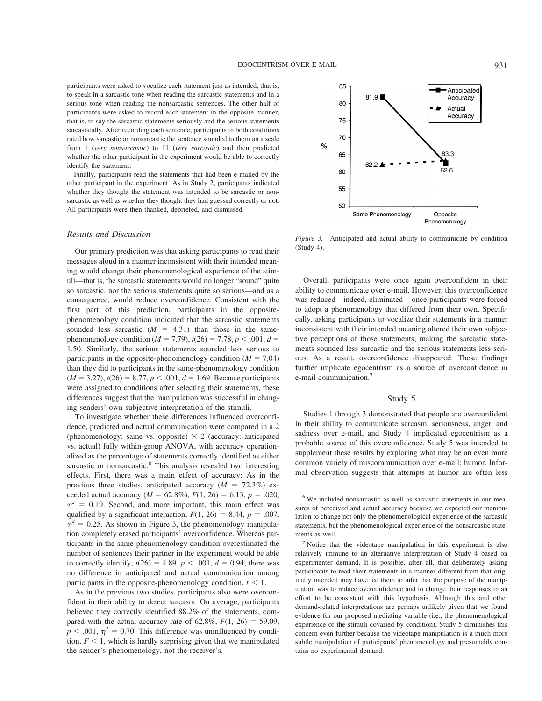participants were asked to vocalize each statement just as intended, that is, to speak in a sarcastic tone when reading the sarcastic statements and in a serious tone when reading the nonsarcastic sentences. The other half of participants were asked to record each statement in the opposite manner, that is, to say the sarcastic statements seriously and the serious statements sarcastically. After recording each sentence, participants in both conditions rated how sarcastic or nonsarcastic the sentence sounded to them on a scale from 1 (*very nonsarcastic*) to 11 (*very sarcastic*) and then predicted whether the other participant in the experiment would be able to correctly identify the statement.

Finally, participants read the statements that had been e-mailed by the other participant in the experiment. As in Study 2, participants indicated whether they thought the statement was intended to be sarcastic or nonsarcastic as well as whether they thought they had guessed correctly or not. All participants were then thanked, debriefed, and dismissed.

### *Results and Discussion*

Our primary prediction was that asking participants to read their messages aloud in a manner inconsistent with their intended meaning would change their phenomenological experience of the stimuli—that is, the sarcastic statements would no longer "sound" quite so sarcastic, nor the serious statements quite so serious—and as a consequence, would reduce overconfidence. Consistent with the first part of this prediction, participants in the oppositephenomenology condition indicated that the sarcastic statements sounded less sarcastic  $(M = 4.31)$  than those in the samephenomenology condition ( $M = 7.79$ ),  $t(26) = 7.78$ ,  $p < .001$ ,  $d =$ 1.50. Similarly, the serious statements sounded less serious to participants in the opposite-phenomenology condition ( $M = 7.04$ ) than they did to participants in the same-phenomenology condition  $(M = 3.27)$ ,  $t(26) = 8.77$ ,  $p < .001$ ,  $d = 1.69$ . Because participants were assigned to conditions after selecting their statements, these differences suggest that the manipulation was successful in changing senders' own subjective interpretation of the stimuli.

To investigate whether these differences influenced overconfidence, predicted and actual communication were compared in a 2 (phenomenology: same vs. opposite)  $\times$  2 (accuracy: anticipated vs. actual) fully within-group ANOVA, with accuracy operationalized as the percentage of statements correctly identified as either sarcastic or nonsarcastic.<sup>6</sup> This analysis revealed two interesting effects. First, there was a main effect of accuracy: As in the previous three studies, anticipated accuracy  $(M = 72.3\%)$  exceeded actual accuracy ( $M = 62.8\%$ ),  $F(1, 26) = 6.13$ ,  $p = .020$ ,  $\eta^2$  = 0.19. Second, and more important, this main effect was qualified by a significant interaction,  $F(1, 26) = 8.44$ ,  $p = .007$ ,  $\eta^2$  = 0.25. As shown in Figure 3, the phenomenology manipulation completely erased participants' overconfidence. Whereas participants in the same-phenomenology condition overestimated the number of sentences their partner in the experiment would be able to correctly identify,  $t(26) = 4.89$ ,  $p < .001$ ,  $d = 0.94$ , there was no difference in anticipated and actual communication among participants in the opposite-phenomenology condition,  $t < 1$ .

As in the previous two studies, participants also were overconfident in their ability to detect sarcasm. On average, participants believed they correctly identified 88.2% of the statements, compared with the actual accuracy rate of  $62.8\%$ ,  $F(1, 26) = 59.09$ ,  $p < .001$ ,  $\eta^2 = 0.70$ . This difference was uninfluenced by condition,  $F < 1$ , which is hardly surprising given that we manipulated the sender's phenomenology, not the receiver's.



*Figure 3.* Anticipated and actual ability to communicate by condition (Study 4).

Overall, participants were once again overconfident in their ability to communicate over e-mail. However, this overconfidence was reduced—indeed, eliminated—once participants were forced to adopt a phenomenology that differed from their own. Specifically, asking participants to vocalize their statements in a manner inconsistent with their intended meaning altered their own subjective perceptions of those statements, making the sarcastic statements sounded less sarcastic and the serious statements less serious. As a result, overconfidence disappeared. These findings further implicate egocentrism as a source of overconfidence in e-mail communication.<sup>7</sup>

## Study 5

Studies 1 through 3 demonstrated that people are overconfident in their ability to communicate sarcasm, seriousness, anger, and sadness over e-mail, and Study 4 implicated egocentrism as a probable source of this overconfidence. Study 5 was intended to supplement these results by exploring what may be an even more common variety of miscommunication over e-mail: humor. Informal observation suggests that attempts at humor are often less

<sup>6</sup> We included nonsarcastic as well as sarcastic statements in our measures of perceived and actual accuracy because we expected our manipulation to change not only the phenomenological experience of the sarcastic statements, but the phenomenological experience of the nonsarcastic statements as well.

<sup>7</sup> Notice that the videotape manipulation in this experiment is also relatively immune to an alternative interpretation of Study 4 based on experimenter demand. It is possible, after all, that deliberately asking participants to read their statements in a manner different from that originally intended may have led them to infer that the purpose of the manipulation was to reduce overconfidence and to change their responses in an effort to be consistent with this hypothesis. Although this and other demand-related interpretations are perhaps unlikely given that we found evidence for our proposed mediating variable (i.e., the phenomenological experience of the stimuli covaried by condition), Study 5 diminishes this concern even further because the videotape manipulation is a much more subtle manipulation of participants' phenomenology and presumably contains no experimental demand.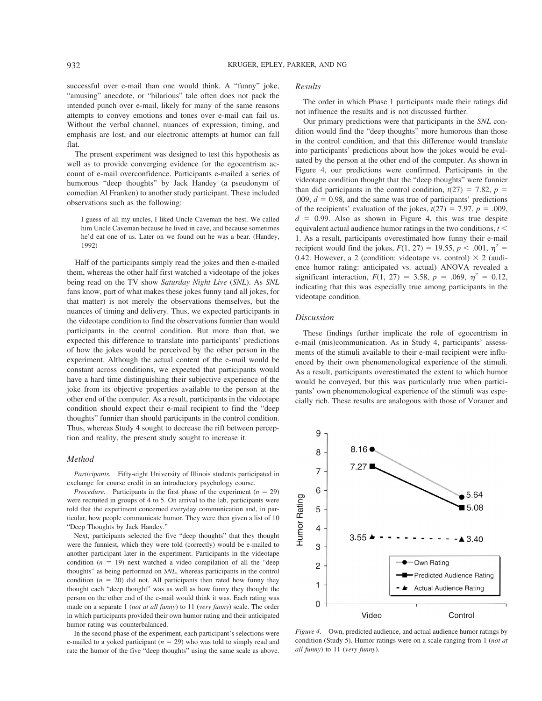successful over e-mail than one would think. A "funny" joke, "amusing" anecdote, or "hilarious" tale often does not pack the intended punch over e-mail, likely for many of the same reasons attempts to convey emotions and tones over e-mail can fail us. Without the verbal channel, nuances of expression, timing, and emphasis are lost, and our electronic attempts at humor can fall flat.

The present experiment was designed to test this hypothesis as well as to provide converging evidence for the egocentrism account of e-mail overconfidence. Participants e-mailed a series of humorous "deep thoughts" by Jack Handey (a pseudonym of comedian Al Franken) to another study participant. These included observations such as the following:

I guess of all my uncles, I liked Uncle Caveman the best. We called him Uncle Caveman because he lived in cave, and because sometimes he'd eat one of us. Later on we found out he was a bear. (Handey, 1992)

Half of the participants simply read the jokes and then e-mailed them, whereas the other half first watched a videotape of the jokes being read on the TV show *Saturday Night Live* (*SNL*). As *SNL* fans know, part of what makes these jokes funny (and all jokes, for that matter) is not merely the observations themselves, but the nuances of timing and delivery. Thus, we expected participants in the videotape condition to find the observations funnier than would participants in the control condition. But more than that, we expected this difference to translate into participants' predictions of how the jokes would be perceived by the other person in the experiment. Although the actual content of the e-mail would be constant across conditions, we expected that participants would have a hard time distinguishing their subjective experience of the joke from its objective properties available to the person at the other end of the computer. As a result, participants in the videotape condition should expect their e-mail recipient to find the "deep thoughts" funnier than should participants in the control condition. Thus, whereas Study 4 sought to decrease the rift between perception and reality, the present study sought to increase it.

#### *Method*

*Participants.* Fifty-eight University of Illinois students participated in exchange for course credit in an introductory psychology course.

*Procedure.* Participants in the first phase of the experiment  $(n = 29)$ were recruited in groups of 4 to 5. On arrival to the lab, participants were told that the experiment concerned everyday communication and, in particular, how people communicate humor. They were then given a list of 10 "Deep Thoughts by Jack Handey."

Next, participants selected the five "deep thoughts" that they thought were the funniest, which they were told (correctly) would be e-mailed to another participant later in the experiment. Participants in the videotape condition  $(n = 19)$  next watched a video compilation of all the "deep thoughts" as being performed on *SNL*, whereas participants in the control condition  $(n = 20)$  did not. All participants then rated how funny they thought each "deep thought" was as well as how funny they thought the person on the other end of the e-mail would think it was. Each rating was made on a separate 1 (*not at all funny*) to 11 (*very funny*) scale. The order in which participants provided their own humor rating and their anticipated humor rating was counterbalanced.

In the second phase of the experiment, each participant's selections were e-mailed to a yoked participant  $(n = 29)$  who was told to simply read and rate the humor of the five "deep thoughts" using the same scale as above.

#### *Results*

The order in which Phase 1 participants made their ratings did not influence the results and is not discussed further.

Our primary predictions were that participants in the *SNL* condition would find the "deep thoughts" more humorous than those in the control condition, and that this difference would translate into participants' predictions about how the jokes would be evaluated by the person at the other end of the computer. As shown in Figure 4, our predictions were confirmed. Participants in the videotape condition thought that the "deep thoughts" were funnier than did participants in the control condition,  $t(27) = 7.82$ ,  $p =$ .009,  $d = 0.98$ , and the same was true of participants' predictions of the recipients' evaluation of the jokes,  $t(27) = 7.97$ ,  $p = .009$ ,  $d = 0.99$ . Also as shown in Figure 4, this was true despite equivalent actual audience humor ratings in the two conditions,  $t <$ 1. As a result, participants overestimated how funny their e-mail recipient would find the jokes,  $F(1, 27) = 19.55$ ,  $p < .001$ ,  $p^2 =$ 0.42. However, a 2 (condition: videotape vs. control)  $\times$  2 (audience humor rating: anticipated vs. actual) ANOVA revealed a significant interaction,  $F(1, 27) = 3.58$ ,  $p = .069$ ,  $\eta^2 = 0.12$ , indicating that this was especially true among participants in the videotape condition.

#### *Discussion*

These findings further implicate the role of egocentrism in e-mail (mis)communication. As in Study 4, participants' assessments of the stimuli available to their e-mail recipient were influenced by their own phenomenological experience of the stimuli. As a result, participants overestimated the extent to which humor would be conveyed, but this was particularly true when participants' own phenomenological experience of the stimuli was especially rich. These results are analogous with those of Vorauer and



*Figure 4.* Own, predicted audience, and actual audience humor ratings by condition (Study 5). Humor ratings were on a scale ranging from 1 (*not at all funny*) to 11 (*very funny*).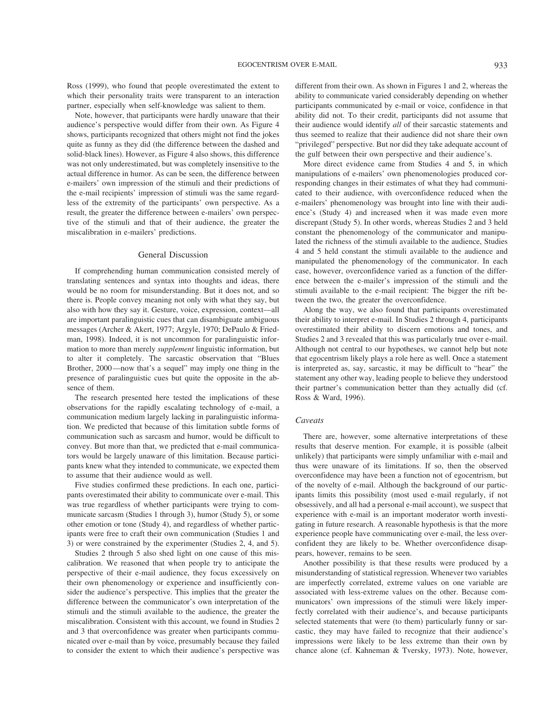Ross (1999), who found that people overestimated the extent to which their personality traits were transparent to an interaction partner, especially when self-knowledge was salient to them.

Note, however, that participants were hardly unaware that their audience's perspective would differ from their own. As Figure 4 shows, participants recognized that others might not find the jokes quite as funny as they did (the difference between the dashed and solid-black lines). However, as Figure 4 also shows, this difference was not only underestimated, but was completely insensitive to the actual difference in humor. As can be seen, the difference between e-mailers' own impression of the stimuli and their predictions of the e-mail recipients' impression of stimuli was the same regardless of the extremity of the participants' own perspective. As a result, the greater the difference between e-mailers' own perspective of the stimuli and that of their audience, the greater the miscalibration in e-mailers' predictions.

#### General Discussion

If comprehending human communication consisted merely of translating sentences and syntax into thoughts and ideas, there would be no room for misunderstanding. But it does not, and so there is. People convey meaning not only with what they say, but also with how they say it. Gesture, voice, expression, context—all are important paralinguistic cues that can disambiguate ambiguous messages (Archer & Akert, 1977; Argyle, 1970; DePaulo & Friedman, 1998). Indeed, it is not uncommon for paralinguistic information to more than merely *supplement* linguistic information, but to alter it completely. The sarcastic observation that "Blues Brother, 2000—now that's a sequel" may imply one thing in the presence of paralinguistic cues but quite the opposite in the absence of them.

The research presented here tested the implications of these observations for the rapidly escalating technology of e-mail, a communication medium largely lacking in paralinguistic information. We predicted that because of this limitation subtle forms of communication such as sarcasm and humor, would be difficult to convey. But more than that, we predicted that e-mail communicators would be largely unaware of this limitation. Because participants knew what they intended to communicate, we expected them to assume that their audience would as well.

Five studies confirmed these predictions. In each one, participants overestimated their ability to communicate over e-mail. This was true regardless of whether participants were trying to communicate sarcasm (Studies 1 through 3), humor (Study 5), or some other emotion or tone (Study 4), and regardless of whether participants were free to craft their own communication (Studies 1 and 3) or were constrained by the experimenter (Studies 2, 4, and 5).

Studies 2 through 5 also shed light on one cause of this miscalibration. We reasoned that when people try to anticipate the perspective of their e-mail audience, they focus excessively on their own phenomenology or experience and insufficiently consider the audience's perspective. This implies that the greater the difference between the communicator's own interpretation of the stimuli and the stimuli available to the audience, the greater the miscalibration. Consistent with this account, we found in Studies 2 and 3 that overconfidence was greater when participants communicated over e-mail than by voice, presumably because they failed to consider the extent to which their audience's perspective was different from their own. As shown in Figures 1 and 2, whereas the ability to communicate varied considerably depending on whether participants communicated by e-mail or voice, confidence in that ability did not. To their credit, participants did not assume that their audience would identify *all* of their sarcastic statements and thus seemed to realize that their audience did not share their own "privileged" perspective. But nor did they take adequate account of the gulf between their own perspective and their audience's.

More direct evidence came from Studies 4 and 5, in which manipulations of e-mailers' own phenomenologies produced corresponding changes in their estimates of what they had communicated to their audience, with overconfidence reduced when the e-mailers' phenomenology was brought into line with their audience's (Study 4) and increased when it was made even more discrepant (Study 5). In other words, whereas Studies 2 and 3 held constant the phenomenology of the communicator and manipulated the richness of the stimuli available to the audience, Studies 4 and 5 held constant the stimuli available to the audience and manipulated the phenomenology of the communicator. In each case, however, overconfidence varied as a function of the difference between the e-mailer's impression of the stimuli and the stimuli available to the e-mail recipient: The bigger the rift between the two, the greater the overconfidence.

Along the way, we also found that participants overestimated their ability to interpret e-mail. In Studies 2 through 4, participants overestimated their ability to discern emotions and tones, and Studies 2 and 3 revealed that this was particularly true over e-mail. Although not central to our hypotheses, we cannot help but note that egocentrism likely plays a role here as well. Once a statement is interpreted as, say, sarcastic, it may be difficult to "hear" the statement any other way, leading people to believe they understood their partner's communication better than they actually did (cf. Ross & Ward, 1996).

#### *Caveats*

There are, however, some alternative interpretations of these results that deserve mention. For example, it is possible (albeit unlikely) that participants were simply unfamiliar with e-mail and thus were unaware of its limitations. If so, then the observed overconfidence may have been a function not of egocentrism, but of the novelty of e-mail. Although the background of our participants limits this possibility (most used e-mail regularly, if not obsessively, and all had a personal e-mail account), we suspect that experience with e-mail is an important moderator worth investigating in future research. A reasonable hypothesis is that the more experience people have communicating over e-mail, the less overconfident they are likely to be. Whether overconfidence disappears, however, remains to be seen.

Another possibility is that these results were produced by a misunderstanding of statistical regression. Whenever two variables are imperfectly correlated, extreme values on one variable are associated with less-extreme values on the other. Because communicators' own impressions of the stimuli were likely imperfectly correlated with their audience's, and because participants selected statements that were (to them) particularly funny or sarcastic, they may have failed to recognize that their audience's impressions were likely to be less extreme than their own by chance alone (cf. Kahneman & Tversky, 1973). Note, however,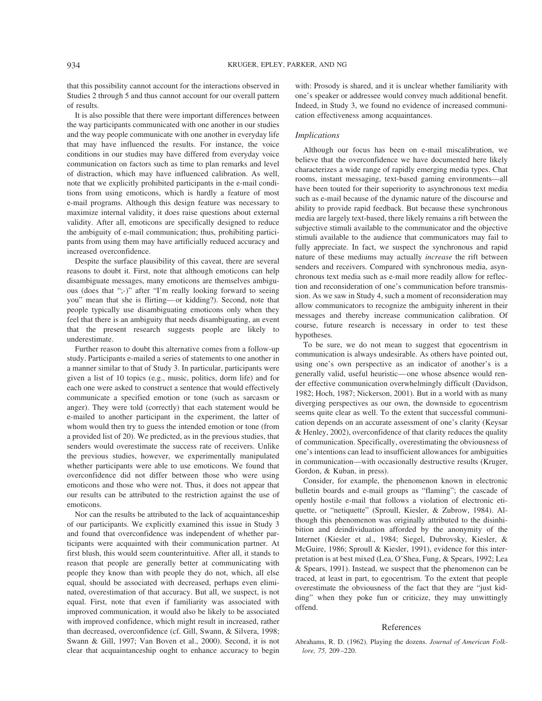that this possibility cannot account for the interactions observed in Studies 2 through 5 and thus cannot account for our overall pattern of results.

It is also possible that there were important differences between the way participants communicated with one another in our studies and the way people communicate with one another in everyday life that may have influenced the results. For instance, the voice conditions in our studies may have differed from everyday voice communication on factors such as time to plan remarks and level of distraction, which may have influenced calibration. As well, note that we explicitly prohibited participants in the e-mail conditions from using emoticons, which is hardly a feature of most e-mail programs. Although this design feature was necessary to maximize internal validity, it does raise questions about external validity. After all, emoticons are specifically designed to reduce the ambiguity of e-mail communication; thus, prohibiting participants from using them may have artificially reduced accuracy and increased overconfidence.

Despite the surface plausibility of this caveat, there are several reasons to doubt it. First, note that although emoticons can help disambiguate messages, many emoticons are themselves ambiguous (does that ";-)" after "I'm really looking forward to seeing you" mean that she is flirting—or kidding?). Second, note that people typically use disambiguating emoticons only when they feel that there is an ambiguity that needs disambiguating, an event that the present research suggests people are likely to underestimate.

Further reason to doubt this alternative comes from a follow-up study. Participants e-mailed a series of statements to one another in a manner similar to that of Study 3. In particular, participants were given a list of 10 topics (e.g., music, politics, dorm life) and for each one were asked to construct a sentence that would effectively communicate a specified emotion or tone (such as sarcasm or anger). They were told (correctly) that each statement would be e-mailed to another participant in the experiment, the latter of whom would then try to guess the intended emotion or tone (from a provided list of 20). We predicted, as in the previous studies, that senders would overestimate the success rate of receivers. Unlike the previous studies, however, we experimentally manipulated whether participants were able to use emoticons. We found that overconfidence did not differ between those who were using emoticons and those who were not. Thus, it does not appear that our results can be attributed to the restriction against the use of emoticons.

Nor can the results be attributed to the lack of acquaintanceship of our participants. We explicitly examined this issue in Study 3 and found that overconfidence was independent of whether participants were acquainted with their communication partner. At first blush, this would seem counterintuitive. After all, it stands to reason that people are generally better at communicating with people they know than with people they do not, which, all else equal, should be associated with decreased, perhaps even eliminated, overestimation of that accuracy. But all, we suspect, is not equal. First, note that even if familiarity was associated with improved communication, it would also be likely to be associated with improved confidence, which might result in increased, rather than decreased, overconfidence (cf. Gill, Swann, & Silvera, 1998; Swann & Gill, 1997; Van Boven et al., 2000). Second, it is not clear that acquaintanceship ought to enhance accuracy to begin

with: Prosody is shared, and it is unclear whether familiarity with one's speaker or addressee would convey much additional benefit. Indeed, in Study 3, we found no evidence of increased communication effectiveness among acquaintances.

## *Implications*

Although our focus has been on e-mail miscalibration, we believe that the overconfidence we have documented here likely characterizes a wide range of rapidly emerging media types. Chat rooms, instant messaging, text-based gaming environments—all have been touted for their superiority to asynchronous text media such as e-mail because of the dynamic nature of the discourse and ability to provide rapid feedback. But because these synchronous media are largely text-based, there likely remains a rift between the subjective stimuli available to the communicator and the objective stimuli available to the audience that communicators may fail to fully appreciate. In fact, we suspect the synchronous and rapid nature of these mediums may actually *increase* the rift between senders and receivers. Compared with synchronous media, asynchronous text media such as e-mail more readily allow for reflection and reconsideration of one's communication before transmission. As we saw in Study 4, such a moment of reconsideration may allow communicators to recognize the ambiguity inherent in their messages and thereby increase communication calibration. Of course, future research is necessary in order to test these hypotheses.

To be sure, we do not mean to suggest that egocentrism in communication is always undesirable. As others have pointed out, using one's own perspective as an indicator of another's is a generally valid, useful heuristic—one whose absence would render effective communication overwhelmingly difficult (Davidson, 1982; Hoch, 1987; Nickerson, 2001). But in a world with as many diverging perspectives as our own, the downside to egocentrism seems quite clear as well. To the extent that successful communication depends on an accurate assessment of one's clarity (Keysar & Henley, 2002), overconfidence of that clarity reduces the quality of communication. Specifically, overestimating the obviousness of one's intentions can lead to insufficient allowances for ambiguities in communication—with occasionally destructive results (Kruger, Gordon, & Kuban, in press).

Consider, for example, the phenomenon known in electronic bulletin boards and e-mail groups as "flaming"; the cascade of openly hostile e-mail that follows a violation of electronic etiquette, or "netiquette" (Sproull, Kiesler, & Zubrow, 1984). Although this phenomenon was originally attributed to the disinhibition and deindividuation afforded by the anonymity of the Internet (Kiesler et al., 1984; Siegel, Dubrovsky, Kiesler, & McGuire, 1986; Sproull & Kiesler, 1991), evidence for this interpretation is at best mixed (Lea, O'Shea, Fung, & Spears, 1992; Lea & Spears, 1991). Instead, we suspect that the phenomenon can be traced, at least in part, to egocentrism. To the extent that people overestimate the obviousness of the fact that they are "just kidding" when they poke fun or criticize, they may unwittingly offend.

#### References

Abrahams, R. D. (1962). Playing the dozens. *Journal of American Folklore, 75,* 209–220.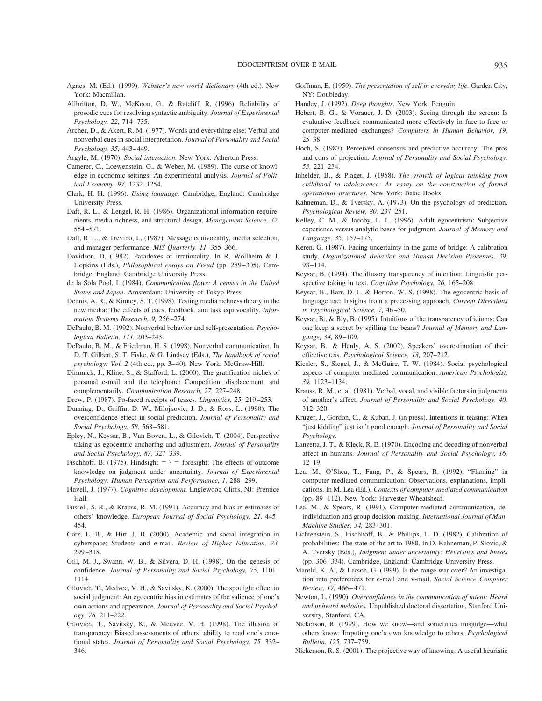- Agnes, M. (Ed.). (1999). *Webster's new world dictionary* (4th ed.). New York: Macmillan.
- Allbritton, D. W., McKoon, G., & Ratcliff, R. (1996). Reliability of prosodic cues for resolving syntactic ambiguity. *Journal of Experimental Psychology, 22,* 714–735.
- Archer, D., & Akert, R. M. (1977). Words and everything else: Verbal and nonverbal cues in social interpretation. *Journal of Personality and Social Psychology, 35,* 443–449.
- Argyle, M. (1970). *Social interaction.* New York: Atherton Press.
- Camerer, C., Loewenstein, G., & Weber, M. (1989). The curse of knowledge in economic settings: An experimental analysis. *Journal of Political Economy, 97,* 1232–1254.
- Clark, H. H. (1996). *Using language.* Cambridge, England: Cambridge University Press.
- Daft, R. L., & Lengel, R. H. (1986). Organizational information requirements, media richness, and structural design. *Management Science, 32,* 554–571.
- Daft, R. L., & Trevino, L. (1987). Message equivocality, media selection, and manager performance. *MIS Quarterly, 11,* 355–366.
- Davidson, D. (1982). Paradoxes of irrationality. In R. Wollheim & J. Hopkins (Eds.), *Philosophical essays on Freud* (pp. 289–305). Cambridge, England: Cambridge University Press.
- de la Sola Pool, I. (1984). *Communication flows: A census in the United States and Japan.* Amsterdam: University of Tokyo Press.
- Dennis, A. R., & Kinney, S. T. (1998). Testing media richness theory in the new media: The effects of cues, feedback, and task equivocality. *Information Systems Research, 9,* 256–274.
- DePaulo, B. M. (1992). Nonverbal behavior and self-presentation. *Psychological Bulletin, 111,* 203–243.
- DePaulo, B. M., & Friedman, H. S. (1998). Nonverbal communication. In D. T. Gilbert, S. T. Fiske, & G. Lindsey (Eds.), *The handbook of social psychology: Vol. 2* (4th ed., pp. 3–40). New York: McGraw-Hill.
- Dimmick, J., Kline, S., & Stafford, L. (2000). The gratification niches of personal e-mail and the telephone: Competition, displacement, and complementarily. *Communication Research, 27,* 227–248.
- Drew, P. (1987). Po-faced receipts of teases. *Linguistics, 25,* 219–253.
- Dunning, D., Griffin, D. W., Milojkovic, J. D., & Ross, L. (1990). The overconfidence effect in social prediction. *Journal of Personality and Social Psychology, 58,* 568–581.
- Epley, N., Keysar, B., Van Boven, L., & Gilovich, T. (2004). Perspective taking as egocentric anchoring and adjustment. *Journal of Personality and Social Psychology, 87,* 327–339.
- Fischhoff, B. (1975). Hindsight  $= \sqrt{ }$  = foresight: The effects of outcome knowledge on judgment under uncertainty. *Journal of Experimental Psychology: Human Perception and Performance, 1,* 288–299.
- Flavell, J. (1977). *Cognitive development.* Englewood Cliffs, NJ: Prentice Hall.
- Fussell, S. R., & Krauss, R. M. (1991). Accuracy and bias in estimates of others' knowledge. *European Journal of Social Psychology, 21,* 445– 454.
- Gatz, L. B., & Hirt, J. B. (2000). Academic and social integration in cyberspace: Students and e-mail. *Review of Higher Education, 23,* 299–318.
- Gill, M. J., Swann, W. B., & Silvera, D. H. (1998). On the genesis of confidence. *Journal of Personality and Social Psychology, 75,* 1101– 1114.
- Gilovich, T., Medvec, V. H., & Savitsky, K. (2000). The spotlight effect in social judgment: An egocentric bias in estimates of the salience of one's own actions and appearance. *Journal of Personality and Social Psychology, 78,* 211–222.
- Gilovich, T., Savitsky, K., & Medvec, V. H. (1998). The illusion of transparency: Biased assessments of others' ability to read one's emotional states. *Journal of Personality and Social Psychology, 75,* 332– 346.
- Goffman, E. (1959). *The presentation of self in everyday life.* Garden City, NY: Doubleday.
- Handey, J. (1992). *Deep thoughts.* New York: Penguin.
- Hebert, B. G., & Vorauer, J. D. (2003). Seeing through the screen: Is evaluative feedback communicated more effectively in face-to-face or computer-mediated exchanges? *Computers in Human Behavior, 19,* 25–38.
- Hoch, S. (1987). Perceived consensus and predictive accuracy: The pros and cons of projection. *Journal of Personality and Social Psychology, 53,* 221–234.
- Inhelder, B., & Piaget, J. (1958). *The growth of logical thinking from childhood to adolescence: An essay on the construction of formal operational structures.* New York: Basic Books.
- Kahneman, D., & Tversky, A. (1973). On the psychology of prediction. *Psychological Review, 80,* 237–251.
- Kelley, C. M., & Jacoby, L. L. (1996). Adult egocentrism: Subjective experience versus analytic bases for judgment. *Journal of Memory and Language, 35,* 157–175.
- Keren, G. (1987). Facing uncertainty in the game of bridge: A calibration study. *Organizational Behavior and Human Decision Processes, 39,* 98–114.
- Keysar, B. (1994). The illusory transparency of intention: Linguistic perspective taking in text. *Cognitive Psychology, 26,* 165–208.
- Keysar, B., Barr, D. J., & Horton, W. S. (1998). The egocentric basis of language use: Insights from a processing approach. *Current Directions in Psychological Science, 7,* 46–50.
- Keysar, B., & Bly, B. (1995). Intuitions of the transparency of idioms: Can one keep a secret by spilling the beans? *Journal of Memory and Language, 34,* 89–109.
- Keysar, B., & Henly, A. S. (2002). Speakers' overestimation of their effectiveness. *Psychological Science, 13,* 207–212.
- Kiesler, S., Siegel, J., & McGuire, T. W. (1984). Social psychological aspects of computer-mediated communication. *American Psychologist, 39,* 1123–1134.
- Krauss, R. M., et al. (1981). Verbal, vocal, and visible factors in judgments of another's affect. *Journal of Personality and Social Psychology, 40,* 312–320.
- Kruger, J., Gordon, C., & Kuban, J. (in press). Intentions in teasing: When "just kidding" just isn't good enough. *Journal of Personality and Social Psychology.*
- Lanzetta, J. T., & Kleck, R. E. (1970). Encoding and decoding of nonverbal affect in humans. *Journal of Personality and Social Psychology, 16,* 12–19.
- Lea, M., O'Shea, T., Fung, P., & Spears, R. (1992). "Flaming" in computer-mediated communication: Observations, explanations, implications. In M. Lea (Ed.), *Contexts of computer-mediated communication* (pp. 89–112). New York: Harvester Wheatsheaf.
- Lea, M., & Spears, R. (1991). Computer-mediated communication, deindividuation and group decision-making. *International Journal of Man-Machine Studies, 34,* 283–301.
- Lichtenstein, S., Fischhoff, B., & Phillips, L. D. (1982). Calibration of probabilities: The state of the art to 1980. In D. Kahneman, P. Slovic, & A. Tversky (Eds.), *Judgment under uncertainty: Heuristics and biases* (pp. 306–334)*.* Cambridge, England: Cambridge University Press.
- Marold, K. A., & Larson, G. (1999). Is the range war over? An investigation into preferences for e-mail and v-mail. *Social Science Computer Review, 17,* 466–471.
- Newton, L. (1990). *Overconfidence in the communication of intent: Heard and unheard melodies.* Unpublished doctoral dissertation, Stanford University, Stanford, CA.
- Nickerson, R. (1999). How we know—and sometimes misjudge—what others know: Imputing one's own knowledge to others. *Psychological Bulletin, 125,* 737–759.
- Nickerson, R. S. (2001). The projective way of knowing: A useful heuristic